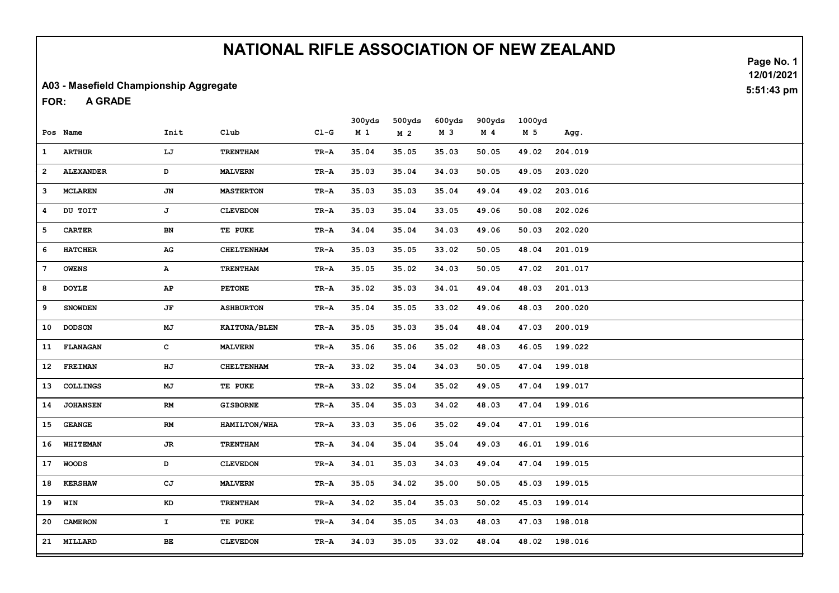#### A03 - Masefield Championship Aggregate

A GRADE FOR:

|                 |                  |               |                   |        | 300yds         | 500yds         | 600yds | 900yds         | 1000yd |         |
|-----------------|------------------|---------------|-------------------|--------|----------------|----------------|--------|----------------|--------|---------|
|                 | Pos Name         | Init          | Club              | $CL-G$ | M <sub>1</sub> | M <sub>2</sub> | M 3    | M <sub>4</sub> | M 5    | Agg.    |
| $\mathbf{1}$    | <b>ARTHUR</b>    | LJ            | <b>TRENTHAM</b>   | TR-A   | 35.04          | 35.05          | 35.03  | 50.05          | 49.02  | 204.019 |
| $\overline{2}$  | <b>ALEXANDER</b> | D             | <b>MALVERN</b>    | TR-A   | 35.03          | 35.04          | 34.03  | 50.05          | 49.05  | 203.020 |
| 3               | <b>MCLAREN</b>   | JN            | <b>MASTERTON</b>  | TR-A   | 35.03          | 35.03          | 35.04  | 49.04          | 49.02  | 203.016 |
| 4               | DU TOIT          | J             | <b>CLEVEDON</b>   | TR-A   | 35.03          | 35.04          | 33.05  | 49.06          | 50.08  | 202.026 |
| 5               | <b>CARTER</b>    | BN            | TE PUKE           | TR-A   | 34.04          | 35.04          | 34.03  | 49.06          | 50.03  | 202.020 |
| 6               | <b>HATCHER</b>   | ${\bf AG}$    | <b>CHELTENHAM</b> | TR-A   | 35.03          | 35.05          | 33.02  | 50.05          | 48.04  | 201.019 |
| 7               | <b>OWENS</b>     | A             | <b>TRENTHAM</b>   | TR-A   | 35.05          | 35.02          | 34.03  | 50.05          | 47.02  | 201.017 |
| 8               | <b>DOYLE</b>     | AP            | <b>PETONE</b>     | TR-A   | 35.02          | 35.03          | 34.01  | 49.04          | 48.03  | 201.013 |
| 9               | <b>SNOWDEN</b>   | JF            | <b>ASHBURTON</b>  | TR-A   | 35.04          | 35.05          | 33.02  | 49.06          | 48.03  | 200.020 |
| 10              | <b>DODSON</b>    | MJ            | KAITUNA/BLEN      | TR-A   | 35.05          | 35.03          | 35.04  | 48.04          | 47.03  | 200.019 |
| 11              | <b>FLANAGAN</b>  | c             | <b>MALVERN</b>    | TR-A   | 35.06          | 35.06          | 35.02  | 48.03          | 46.05  | 199.022 |
| 12 <sub>2</sub> | FREIMAN          | HJ            | <b>CHELTENHAM</b> | TR-A   | 33.02          | 35.04          | 34.03  | 50.05          | 47.04  | 199.018 |
| 13              | <b>COLLINGS</b>  | MJ            | TE PUKE           | TR-A   | 33.02          | 35.04          | 35.02  | 49.05          | 47.04  | 199.017 |
| 14              | <b>JOHANSEN</b>  | RM            | <b>GISBORNE</b>   | TR-A   | 35.04          | 35.03          | 34.02  | 48.03          | 47.04  | 199.016 |
| 15              | <b>GEANGE</b>    | $\mathbf{RM}$ | HAMILTON/WHA      | TR-A   | 33.03          | 35.06          | 35.02  | 49.04          | 47.01  | 199.016 |
| 16              | WHITEMAN         | $J\mathbb{R}$ | <b>TRENTHAM</b>   | TR-A   | 34.04          | 35.04          | 35.04  | 49.03          | 46.01  | 199.016 |
| 17              | <b>WOODS</b>     | D             | <b>CLEVEDON</b>   | TR-A   | 34.01          | 35.03          | 34.03  | 49.04          | 47.04  | 199.015 |
| 18              | <b>KERSHAW</b>   | CJ            | <b>MALVERN</b>    | TR-A   | 35.05          | 34.02          | 35.00  | 50.05          | 45.03  | 199.015 |
| 19              | WIN              | KD            | <b>TRENTHAM</b>   | TR-A   | 34.02          | 35.04          | 35.03  | 50.02          | 45.03  | 199.014 |
| 20              | <b>CAMERON</b>   | $\mathbf{I}$  | TE PUKE           | TR-A   | 34.04          | 35.05          | 34.03  | 48.03          | 47.03  | 198.018 |
| 21              | MILLARD          | BЕ            | <b>CLEVEDON</b>   | TR-A   | 34.03          | 35.05          | 33.02  | 48.04          | 48.02  | 198.016 |

Page No. 1 12/01/2021 5:51:43 pm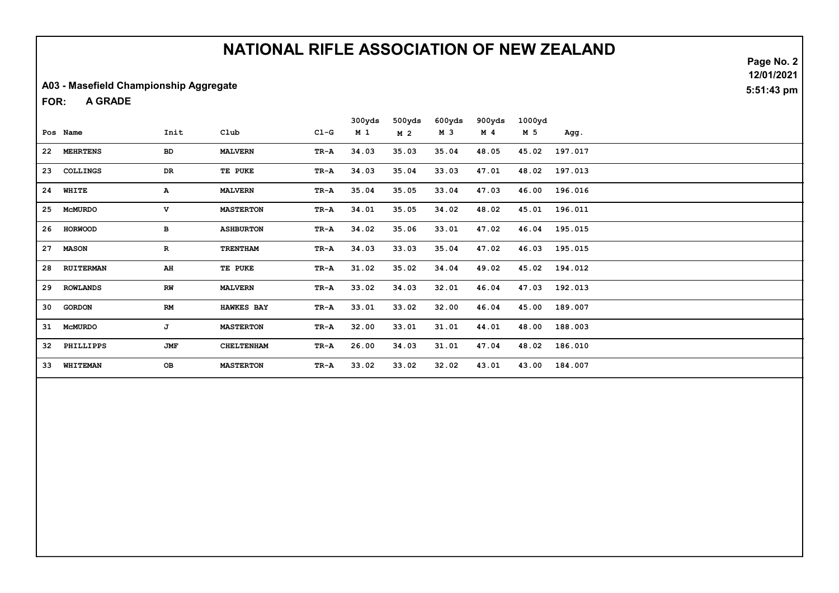#### A03 - Masefield Championship Aggregate

A GRADE FOR:

|    |                |             |                   |        | 300yds | 500yds         | 600yds | 900yds | 1000yd |         |
|----|----------------|-------------|-------------------|--------|--------|----------------|--------|--------|--------|---------|
|    | Pos Name       | Init        | Club              | $CL-G$ | M 1    | M <sub>2</sub> | M 3    | M 4    | M 5    | Agg.    |
|    | 22 MEHRTENS    | <b>BD</b>   | <b>MALVERN</b>    | TR-A   | 34.03  | 35.03          | 35.04  | 48.05  | 45.02  | 197.017 |
|    | 23 COLLINGS    | DR          | TE PUKE           | TR-A   | 34.03  | 35.04          | 33.03  | 47.01  | 48.02  | 197.013 |
|    | 24 WHITE       | A           | <b>MALVERN</b>    | TR-A   | 35.04  | 35.05          | 33.04  | 47.03  | 46.00  | 196.016 |
| 25 | <b>MCMURDO</b> | v           | <b>MASTERTON</b>  | TR-A   | 34.01  | 35.05          | 34.02  | 48.02  | 45.01  | 196.011 |
|    | 26 HORWOOD     | в           | <b>ASHBURTON</b>  | TR A   | 34.02  | 35.06          | 33.01  | 47.02  | 46.04  | 195.015 |
| 27 | <b>MASON</b>   | $\mathbf R$ | <b>TRENTHAM</b>   | TR A   | 34.03  | 33.03          | 35.04  | 47.02  | 46.03  | 195.015 |
|    | 28 RUITERMAN   | AH          | TE PUKE           | TR-A   | 31.02  | 35.02          | 34.04  | 49.02  | 45.02  | 194.012 |
|    | 29 ROWLANDS    | RW          | <b>MALVERN</b>    | TR-A   | 33.02  | 34.03          | 32.01  | 46.04  | 47.03  | 192.013 |
| 30 | <b>GORDON</b>  | RM          | <b>HAWKES BAY</b> | TR-A   | 33.01  | 33.02          | 32.00  | 46.04  | 45.00  | 189.007 |
|    | 31 McMURDO     | J           | <b>MASTERTON</b>  | TR-A   | 32.00  | 33.01          | 31.01  | 44.01  | 48.00  | 188.003 |
| 32 | PHILLIPPS      | JMF         | <b>CHELTENHAM</b> | TR-A   | 26.00  | 34.03          | 31.01  | 47.04  | 48.02  | 186.010 |
| 33 | WHITEMAN       | OB          | <b>MASTERTON</b>  | TR-A   | 33.02  | 33.02          | 32.02  | 43.01  | 43.00  | 184.007 |

Page No. 2 12/01/2021 5:51:43 pm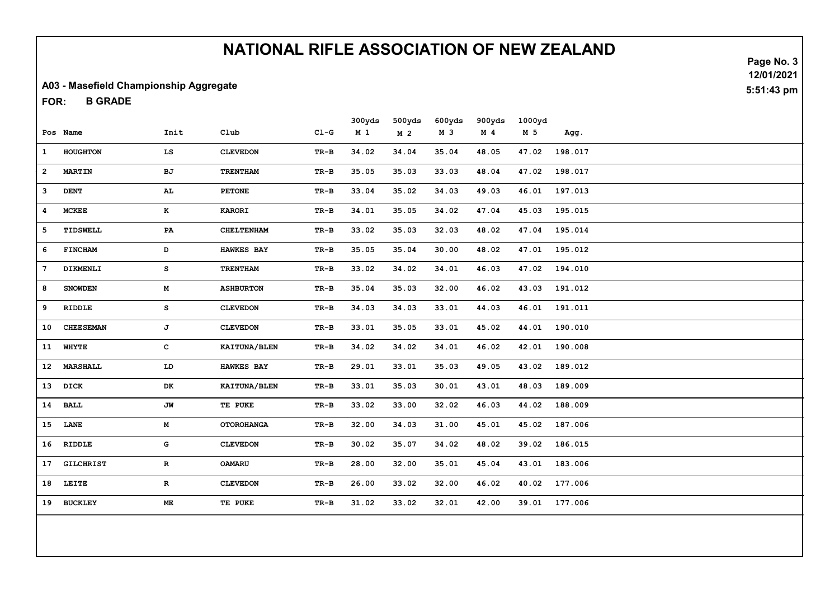#### A03 - Masefield Championship Aggregate

B GRADE FOR:

|                |                  |              |                   |        | 300yds         | 500yds         | 600yds | 900yds         | 1000yd |               |
|----------------|------------------|--------------|-------------------|--------|----------------|----------------|--------|----------------|--------|---------------|
|                | Pos Name         | Init         | C1ub              | $CL-G$ | M <sub>1</sub> | M <sub>2</sub> | M 3    | M <sub>4</sub> | M 5    | Agg.          |
| $\mathbf{1}$   | <b>HOUGHTON</b>  | LS           | <b>CLEVEDON</b>   | $TR-B$ | 34.02          | 34.04          | 35.04  | 48.05          | 47.02  | 198.017       |
| $\overline{2}$ | <b>MARTIN</b>    | BJ           | <b>TRENTHAM</b>   | TR-B   | 35.05          | 35.03          | 33.03  | 48.04          | 47.02  | 198.017       |
| 3              | <b>DENT</b>      | AL           | <b>PETONE</b>     | TR-B   | 33.04          | 35.02          | 34.03  | 49.03          | 46.01  | 197.013       |
| 4              | <b>MCKEE</b>     | $\mathbf{K}$ | <b>KARORI</b>     | $TR-B$ | 34.01          | 35.05          | 34.02  | 47.04          | 45.03  | 195.015       |
| 5              | TIDSWELL         | PA           | <b>CHELTENHAM</b> | $TR-B$ | 33.02          | 35.03          | 32.03  | 48.02          | 47.04  | 195.014       |
| 6              | <b>FINCHAM</b>   | D            | <b>HAWKES BAY</b> | $TR-B$ | 35.05          | 35.04          | 30.00  | 48.02          | 47.01  | 195.012       |
| 7              | DIKMENLI         | s            | <b>TRENTHAM</b>   | TR-B   | 33.02          | 34.02          | 34.01  | 46.03          | 47.02  | 194.010       |
| 8              | <b>SNOWDEN</b>   | M            | <b>ASHBURTON</b>  | $TR-B$ | 35.04          | 35.03          | 32.00  | 46.02          | 43.03  | 191.012       |
| 9              | RIDDLE           | s            | <b>CLEVEDON</b>   | $TR-B$ | 34.03          | 34.03          | 33.01  | 44.03          | 46.01  | 191.011       |
| 10             | <b>CHEESEMAN</b> | J            | <b>CLEVEDON</b>   | TR-B   | 33.01          | 35.05          | 33.01  | 45.02          | 44.01  | 190.010       |
|                | 11 WHYTE         | c            | KAITUNA/BLEN      | $TR-B$ | 34.02          | 34.02          | 34.01  | 46.02          | 42.01  | 190.008       |
| 12             | <b>MARSHALL</b>  | LD           | <b>HAWKES BAY</b> | $TR-B$ | 29.01          | 33.01          | 35.03  | 49.05          | 43.02  | 189.012       |
|                | 13 DICK          | DK           | KAITUNA/BLEN      | TR-B   | 33.01          | 35.03          | 30.01  | 43.01          | 48.03  | 189.009       |
|                | 14 BALL          | JW           | TE PUKE           | TR-B   | 33.02          | 33.00          | 32.02  | 46.03          | 44.02  | 188.009       |
|                | 15 LANE          | M            | <b>OTOROHANGA</b> | $TR-B$ | 32.00          | 34.03          | 31.00  | 45.01          | 45.02  | 187.006       |
|                | 16 RIDDLE        | G            | <b>CLEVEDON</b>   | $TR-B$ | 30.02          | 35.07          | 34.02  | 48.02          | 39.02  | 186.015       |
| 17             | <b>GILCHRIST</b> | $\mathbf{R}$ | <b>OAMARU</b>     | TR-B   | 28.00          | 32.00          | 35.01  | 45.04          | 43.01  | 183.006       |
| 18             | LEITE            | $\mathbf R$  | <b>CLEVEDON</b>   | TR-B   | 26.00          | 33.02          | 32.00  | 46.02          |        | 40.02 177.006 |
|                | 19 BUCKLEY       | ME           | TE PUKE           | TR-B   | 31.02          | 33.02          | 32.01  | 42.00          | 39.01  | 177.006       |
|                |                  |              |                   |        |                |                |        |                |        |               |

Page No. 3 12/01/2021 5:51:43 pm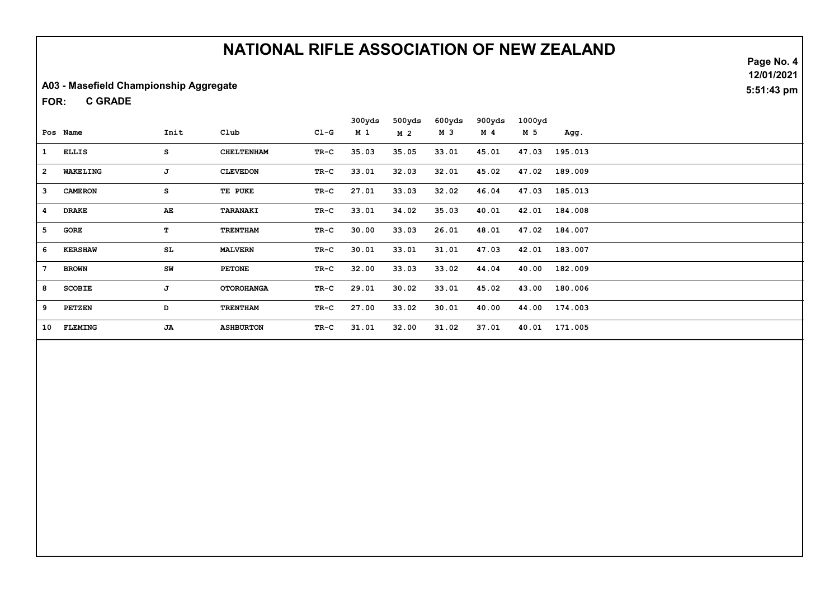#### A03 - Masefield Championship Aggregate

C GRADE FOR:

|                 |                |      |                   |        | 300yds | 500yds         | 600yds | 900yds | 1000yd |               |
|-----------------|----------------|------|-------------------|--------|--------|----------------|--------|--------|--------|---------------|
|                 | Pos Name       | Init | Club              | $C1-G$ | M 1    | M <sub>2</sub> | M 3    | M 4    | M 5    | Agg.          |
| 1               | <b>ELLIS</b>   | s    | <b>CHELTENHAM</b> | $TR-C$ | 35.03  | 35.05          | 33.01  | 45.01  | 47.03  | 195.013       |
| $\overline{a}$  | WAKELING       | J    | <b>CLEVEDON</b>   | TR-C   | 33.01  | 32.03          | 32.01  | 45.02  | 47.02  | 189.009       |
| 3               | <b>CAMERON</b> | s    | TE PUKE           | TR-C   | 27.01  | 33.03          | 32.02  | 46.04  | 47.03  | 185.013       |
| $\overline{4}$  | <b>DRAKE</b>   | AE   | <b>TARANAKI</b>   | TR-C   | 33.01  | 34.02          | 35.03  | 40.01  | 42.01  | 184.008       |
| 5               | GORE           | т    | <b>TRENTHAM</b>   | $TR-C$ | 30.00  | 33.03          | 26.01  | 48.01  |        | 47.02 184.007 |
| 6               | <b>KERSHAW</b> | SL   | <b>MALVERN</b>    | TR-C   | 30.01  | 33.01          | 31.01  | 47.03  | 42.01  | 183.007       |
| $7\phantom{.0}$ | <b>BROWN</b>   | SW   | <b>PETONE</b>     | $TR-C$ | 32.00  | 33.03          | 33.02  | 44.04  |        | 40.00 182.009 |
| 8               | <b>SCOBIE</b>  | J    | <b>OTOROHANGA</b> | $TR-C$ | 29.01  | 30.02          | 33.01  | 45.02  | 43.00  | 180.006       |
| 9               | <b>PETZEN</b>  | D    | <b>TRENTHAM</b>   | $TR-C$ | 27.00  | 33.02          | 30.01  | 40.00  |        | 44.00 174.003 |
| 10              | <b>FLEMING</b> | JA   | <b>ASHBURTON</b>  | $TR-C$ | 31.01  | 32.00          | 31.02  | 37.01  | 40.01  | 171.005       |

Page No. 4 12/01/2021

5:51:43 pm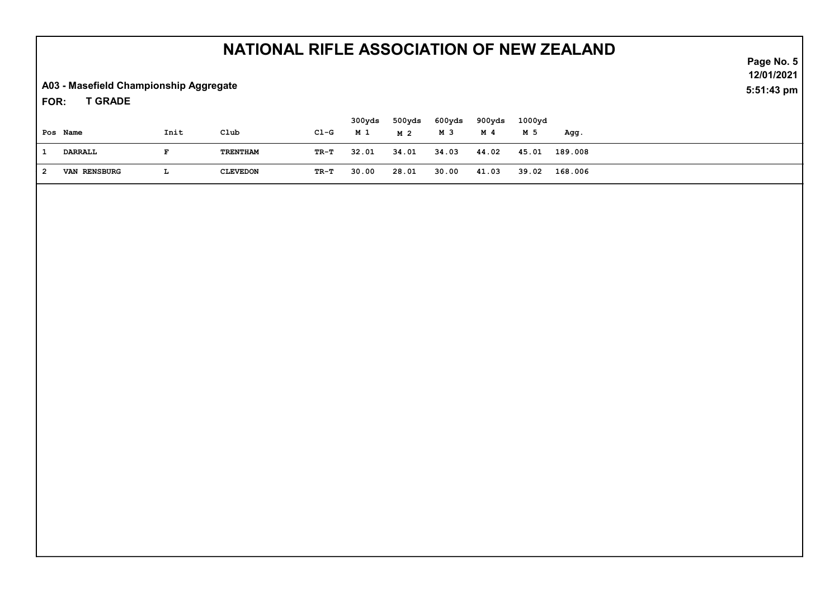A03 - Masefield Championship Aggregate

T GRADE FOR:

| Pos Name            | Init | Club            | $C1-G$ | 300yds<br>M 1 | 500yds<br>M 2 | 600yds<br>м з | 900yds<br>M 4 | 1000yd<br>M 5 | Agg.          |  |
|---------------------|------|-----------------|--------|---------------|---------------|---------------|---------------|---------------|---------------|--|
| DARRALL             |      | TRENTHAM        | TR-T   | 32.01         | 34.01         | 34.03         | 44.02         | 45.01         | 189.008       |  |
| <b>VAN RENSBURG</b> | ш.   | <b>CLEVEDON</b> | TR-T   | 30.00         | 28.01         | 30.00         | 41.03         |               | 39.02 168.006 |  |

Page No. 5 12/01/2021 5:51:43 pm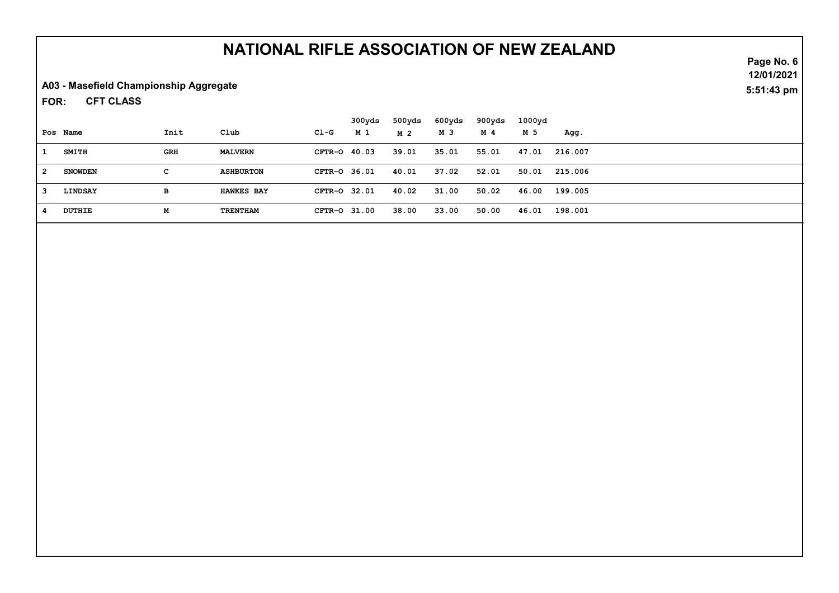A03 - Masefield Championship Aggregate

CFT CLASS FOR:

|    |                |            |                   |              | 300yds | 500yds | 600yds | 900yds | 1000yd |               |
|----|----------------|------------|-------------------|--------------|--------|--------|--------|--------|--------|---------------|
|    | Pos Name       | Init       | Club              | Cl-G         | M 1    | M 2    | M 3    | M 4    | M 5    | Agg.          |
|    | SMITH          | <b>GRH</b> | <b>MALVERN</b>    | CFTR-0 40.03 |        | 39.01  | 35.01  | 55.01  |        | 47.01 216.007 |
| 2  | <b>SNOWDEN</b> | c          | <b>ASHBURTON</b>  | CFTR-0 36.01 |        | 40.01  | 37.02  | 52.01  |        | 50.01 215.006 |
| -3 | LINDSAY        | в          | <b>HAWKES BAY</b> | CFTR-0 32.01 |        | 40.02  | 31.00  | 50.02  |        | 46.00 199.005 |
|    | <b>DUTHIE</b>  | м          | TRENTHAM          | CFTR-0 31.00 |        | 38.00  | 33.00  | 50.00  |        | 46.01 198.001 |

Page No. 6 12/01/2021 5:51:43 pm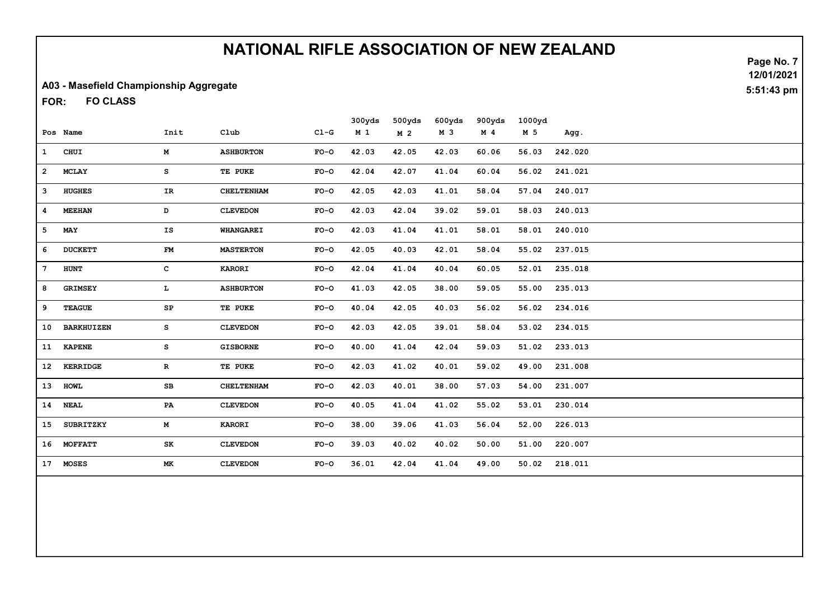#### A03 - Masefield Championship Aggregate

FO CLASS FOR:

|                 |                   |             |                   |        | 300yds         | 500yds         | 600yds | 900yds         | 1000yd |         |
|-----------------|-------------------|-------------|-------------------|--------|----------------|----------------|--------|----------------|--------|---------|
|                 | Pos Name          | Init        | Club              | $C1-G$ | M <sub>1</sub> | M <sub>2</sub> | M 3    | M <sub>4</sub> | M 5    | Agg.    |
| $\mathbf{1}$    | CHUI              | M           | <b>ASHBURTON</b>  | $FO-O$ | 42.03          | 42.05          | 42.03  | 60.06          | 56.03  | 242.020 |
| $\overline{2}$  | <b>MCLAY</b>      | s           | TE PUKE           | $FO-O$ | 42.04          | 42.07          | 41.04  | 60.04          | 56.02  | 241.021 |
| 3               | <b>HUGHES</b>     | IR          | <b>CHELTENHAM</b> | $FO-O$ | 42.05          | 42.03          | 41.01  | 58.04          | 57.04  | 240.017 |
| 4               | <b>MEEHAN</b>     | D           | <b>CLEVEDON</b>   | $FO-O$ | 42.03          | 42.04          | 39.02  | 59.01          | 58.03  | 240.013 |
| 5               | MAY               | IS          | <b>WHANGAREI</b>  | $FO-O$ | 42.03          | 41.04          | 41.01  | 58.01          | 58.01  | 240.010 |
| 6               | <b>DUCKETT</b>    | FM          | <b>MASTERTON</b>  | $FO-O$ | 42.05          | 40.03          | 42.01  | 58.04          | 55.02  | 237.015 |
| $7\phantom{.0}$ | HUNT              | c           | <b>KARORI</b>     | $FO-O$ | 42.04          | 41.04          | 40.04  | 60.05          | 52.01  | 235.018 |
| 8               | <b>GRIMSEY</b>    | L.          | <b>ASHBURTON</b>  | $FO-O$ | 41.03          | 42.05          | 38.00  | 59.05          | 55.00  | 235.013 |
| 9               | <b>TEAGUE</b>     | SP          | TE PUKE           | $FO-O$ | 40.04          | 42.05          | 40.03  | 56.02          | 56.02  | 234.016 |
| 10              | <b>BARKHUIZEN</b> | s           | <b>CLEVEDON</b>   | $FO-O$ | 42.03          | 42.05          | 39.01  | 58.04          | 53.02  | 234.015 |
| 11              | <b>KAPENE</b>     | s           | <b>GISBORNE</b>   | $FO-O$ | 40.00          | 41.04          | 42.04  | 59.03          | 51.02  | 233.013 |
|                 | 12 KERRIDGE       | $\mathbf R$ | TE PUKE           | $FO-O$ | 42.03          | 41.02          | 40.01  | 59.02          | 49.00  | 231.008 |
| 13              | <b>HOWL</b>       | SB          | <b>CHELTENHAM</b> | $FO-O$ | 42.03          | 40.01          | 38.00  | 57.03          | 54.00  | 231.007 |
|                 | 14 NEAL           | PA          | <b>CLEVEDON</b>   | $FO-O$ | 40.05          | 41.04          | 41.02  | 55.02          | 53.01  | 230.014 |
| 15              | <b>SUBRITZKY</b>  | M           | <b>KARORI</b>     | $FO-O$ | 38.00          | 39.06          | 41.03  | 56.04          | 52.00  | 226.013 |
|                 | 16 MOFFATT        | SK          | <b>CLEVEDON</b>   | $FO-O$ | 39.03          | 40.02          | 40.02  | 50.00          | 51.00  | 220.007 |
| 17              | <b>MOSES</b>      | МK          | <b>CLEVEDON</b>   | $FO-O$ | 36.01          | 42.04          | 41.04  | 49.00          | 50.02  | 218.011 |
|                 |                   |             |                   |        |                |                |        |                |        |         |

Page No. 7 12/01/2021 5:51:43 pm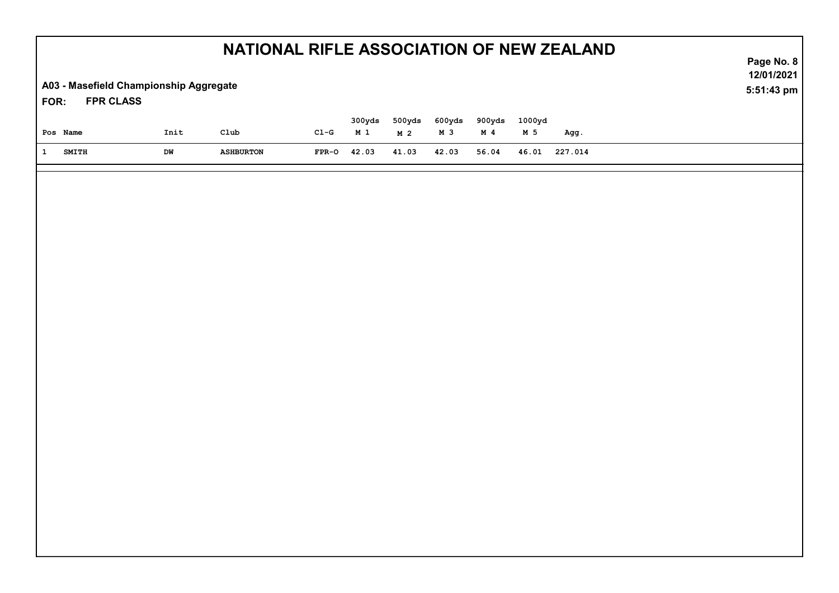|                                                                    | NATIONAL RIFLE ASSOCIATION OF NEW ZEALAND |                    |                  |                          |                          |               |                          |               |         |                          |  |
|--------------------------------------------------------------------|-------------------------------------------|--------------------|------------------|--------------------------|--------------------------|---------------|--------------------------|---------------|---------|--------------------------|--|
| A03 - Masefield Championship Aggregate<br><b>FPR CLASS</b><br>FOR: |                                           |                    |                  |                          |                          |               |                          |               |         | 12/01/2021<br>5:51:43 pm |  |
| Pos Name                                                           | Init                                      | $_{\texttt{Club}}$ | $CL-G$           | 300yds<br>M <sub>1</sub> | 500yds<br>M <sub>2</sub> | 600yds<br>M 3 | 900yds<br>M <sub>4</sub> | 1000yd<br>M 5 | Agg.    |                          |  |
| $\mathbf{1}$<br><b>SMITH</b>                                       | DW                                        | <b>ASHBURTON</b>   | $\texttt{FPR-O}$ | 42.03                    | 41.03                    | 42.03         | 56.04                    | 46.01         | 227.014 |                          |  |
|                                                                    |                                           |                    |                  |                          |                          |               |                          |               |         |                          |  |
|                                                                    |                                           |                    |                  |                          |                          |               |                          |               |         |                          |  |
|                                                                    |                                           |                    |                  |                          |                          |               |                          |               |         |                          |  |
|                                                                    |                                           |                    |                  |                          |                          |               |                          |               |         |                          |  |
|                                                                    |                                           |                    |                  |                          |                          |               |                          |               |         |                          |  |
|                                                                    |                                           |                    |                  |                          |                          |               |                          |               |         |                          |  |
|                                                                    |                                           |                    |                  |                          |                          |               |                          |               |         |                          |  |
|                                                                    |                                           |                    |                  |                          |                          |               |                          |               |         |                          |  |
|                                                                    |                                           |                    |                  |                          |                          |               |                          |               |         |                          |  |
|                                                                    |                                           |                    |                  |                          |                          |               |                          |               |         |                          |  |
|                                                                    |                                           |                    |                  |                          |                          |               |                          |               |         |                          |  |
|                                                                    |                                           |                    |                  |                          |                          |               |                          |               |         |                          |  |
|                                                                    |                                           |                    |                  |                          |                          |               |                          |               |         |                          |  |
|                                                                    |                                           |                    |                  |                          |                          |               |                          |               |         |                          |  |
|                                                                    |                                           |                    |                  |                          |                          |               |                          |               |         |                          |  |